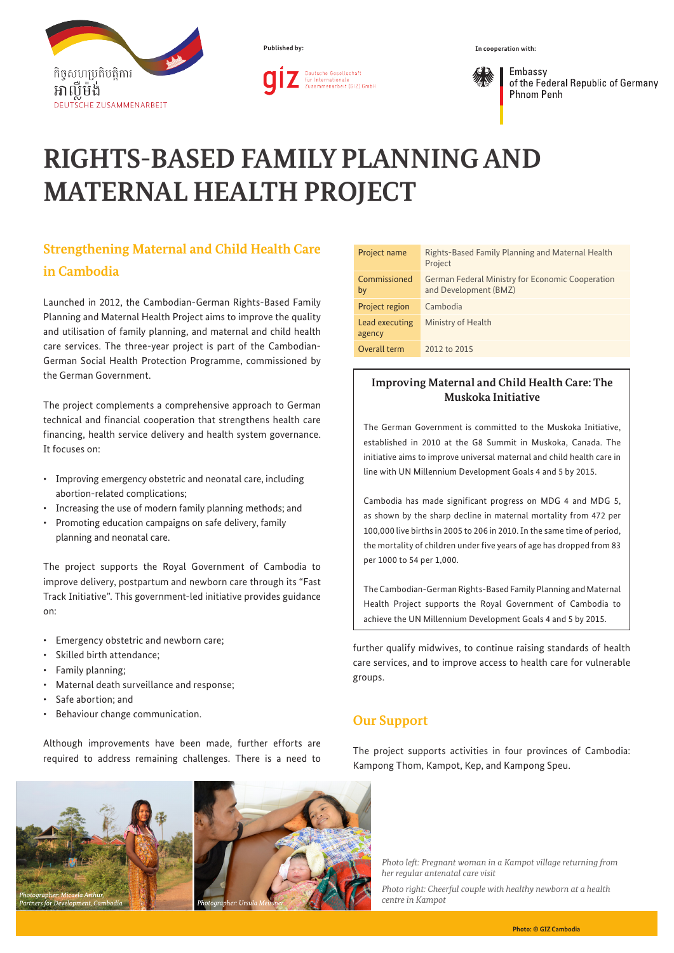

**Published by:**



Embassy of the Federal Republic of Germany **Phnom Penh** 

# **RIGHTS-BASED FAMILY PLANNING AND MATERNAL HEALTH PROJECT**

## **Strengthening Maternal and Child Health Care in Cambodia**

Launched in 2012, the Cambodian-German Rights-Based Family Planning and Maternal Health Project aims to improve the quality and utilisation of family planning, and maternal and child health care services. The three-year project is part of the Cambodian-German Social Health Protection Programme, commissioned by the German Government.

The project complements a comprehensive approach to German technical and financial cooperation that strengthens health care financing, health service delivery and health system governance. It focuses on:

- • Improving emergency obstetric and neonatal care, including abortion-related complications;
- Increasing the use of modern family planning methods; and
- • Promoting education campaigns on safe delivery, family planning and neonatal care.

The project supports the Royal Government of Cambodia to improve delivery, postpartum and newborn care through its "Fast Track Initiative". This government-led initiative provides guidance on:

- • Emergency obstetric and newborn care;
- • Skilled birth attendance;
- Family planning;
- • Maternal death surveillance and response;
- Safe abortion; and
- Behaviour change communication.

Although improvements have been made, further efforts are required to address remaining challenges. There is a need to



| Project name             | Rights-Based Family Planning and Maternal Health<br>Project                      |
|--------------------------|----------------------------------------------------------------------------------|
| Commissioned<br>by       | <b>German Federal Ministry for Economic Cooperation</b><br>and Development (BMZ) |
| Project region           | Cambodia                                                                         |
| Lead executing<br>agency | Ministry of Health                                                               |
| Overall term             | 2012 to 2015                                                                     |

#### **Improving Maternal and Child Health Care: The Muskoka Initiative**

The German Government is committed to the Muskoka Initiative, established in 2010 at the G8 Summit in Muskoka, Canada. The initiative aims to improve universal maternal and child health care in line with UN Millennium Development Goals 4 and 5 by 2015.

Cambodia has made significant progress on MDG 4 and MDG 5, as shown by the sharp decline in maternal mortality from 472 per 100,000 live births in 2005 to 206 in 2010. In the same time of period, the mortality of children under five years of age has dropped from 83 per 1000 to 54 per 1,000.

The Cambodian-German Rights-Based Family Planning and Maternal Health Project supports the Royal Government of Cambodia to achieve the UN Millennium Development Goals 4 and 5 by 2015.

further qualify midwives, to continue raising standards of health care services, and to improve access to health care for vulnerable groups.

### **Our Support**

The project supports activities in four provinces of Cambodia: Kampong Thom, Kampot, Kep, and Kampong Speu.

*Photo left: Pregnant woman in a Kampot village returning from her regular antenatal care visit*

*Photo right: Cheerful couple with healthy newborn at a health centre in Kampot*